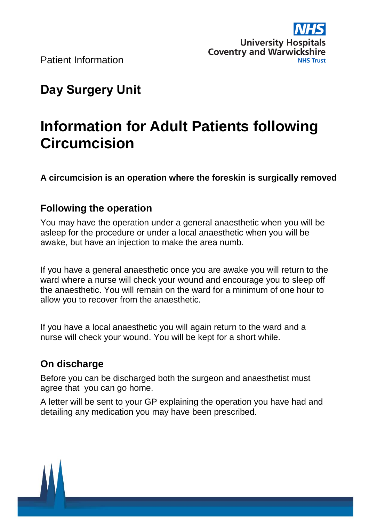

# **Day Surgery Unit**

# **Information for Adult Patients following Circumcision**

**A circumcision is an operation where the foreskin is surgically removed**

# **Following the operation**

You may have the operation under a general anaesthetic when you will be asleep for the procedure or under a local anaesthetic when you will be awake, but have an injection to make the area numb.

If you have a general anaesthetic once you are awake you will return to the ward where a nurse will check your wound and encourage you to sleep off the anaesthetic. You will remain on the ward for a minimum of one hour to allow you to recover from the anaesthetic.

If you have a local anaesthetic you will again return to the ward and a nurse will check your wound. You will be kept for a short while.

# **On discharge**

Before you can be discharged both the surgeon and anaesthetist must agree that you can go home.

A letter will be sent to your GP explaining the operation you have had and detailing any medication you may have been prescribed.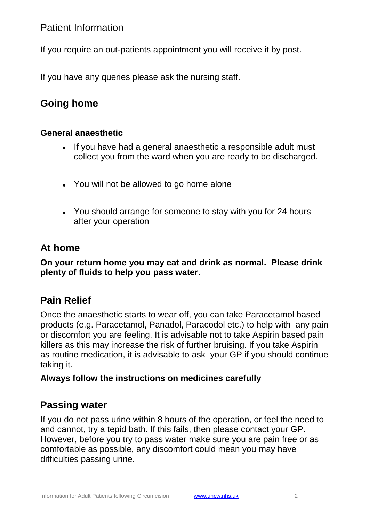If you require an out-patients appointment you will receive it by post.

If you have any queries please ask the nursing staff.

# **Going home**

#### **General anaesthetic**

- If you have had a general anaesthetic a responsible adult must collect you from the ward when you are ready to be discharged.
- You will not be allowed to go home alone
- You should arrange for someone to stay with you for 24 hours after your operation

# **At home**

**On your return home you may eat and drink as normal. Please drink plenty of fluids to help you pass water.**

# **Pain Relief**

Once the anaesthetic starts to wear off, you can take Paracetamol based products (e.g. Paracetamol, Panadol, Paracodol etc.) to help with any pain or discomfort you are feeling. It is advisable not to take Aspirin based pain killers as this may increase the risk of further bruising. If you take Aspirin as routine medication, it is advisable to ask your GP if you should continue taking it.

#### **Always follow the instructions on medicines carefully**

### **Passing water**

If you do not pass urine within 8 hours of the operation, or feel the need to and cannot, try a tepid bath. If this fails, then please contact your GP. However, before you try to pass water make sure you are pain free or as comfortable as possible, any discomfort could mean you may have difficulties passing urine.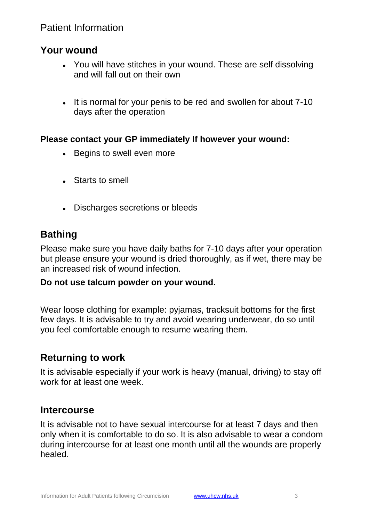#### **Your wound**

- You will have stitches in your wound. These are self dissolving and will fall out on their own
- It is normal for your penis to be red and swollen for about 7-10 days after the operation

#### **Please contact your GP immediately If however your wound:**

- Begins to swell even more
- Starts to smell
- Discharges secretions or bleeds

# **Bathing**

Please make sure you have daily baths for 7-10 days after your operation but please ensure your wound is dried thoroughly, as if wet, there may be an increased risk of wound infection.

#### **Do not use talcum powder on your wound.**

Wear loose clothing for example: pyjamas, tracksuit bottoms for the first few days. It is advisable to try and avoid wearing underwear, do so until you feel comfortable enough to resume wearing them.

# **Returning to work**

It is advisable especially if your work is heavy (manual, driving) to stay off work for at least one week.

#### **Intercourse**

It is advisable not to have sexual intercourse for at least 7 days and then only when it is comfortable to do so. It is also advisable to wear a condom during intercourse for at least one month until all the wounds are properly healed.